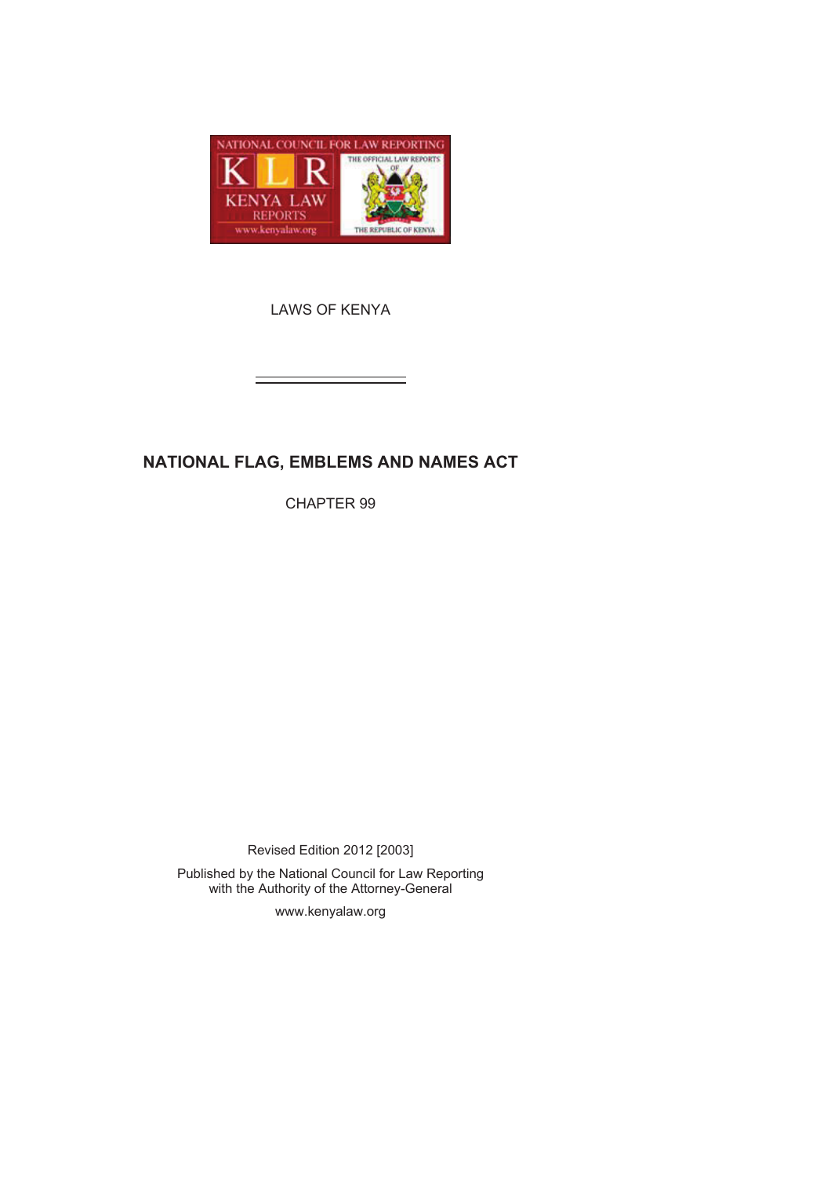

LAWS OF KENYA

# **NATIONAL FLAG, EMBLEMS AND NAMES ACT**

CHAPTER 99

Revised Edition 2012 [2003]

Published by the National Council for Law Reporting with the Authority of the Attorney-General

www.kenyalaw.org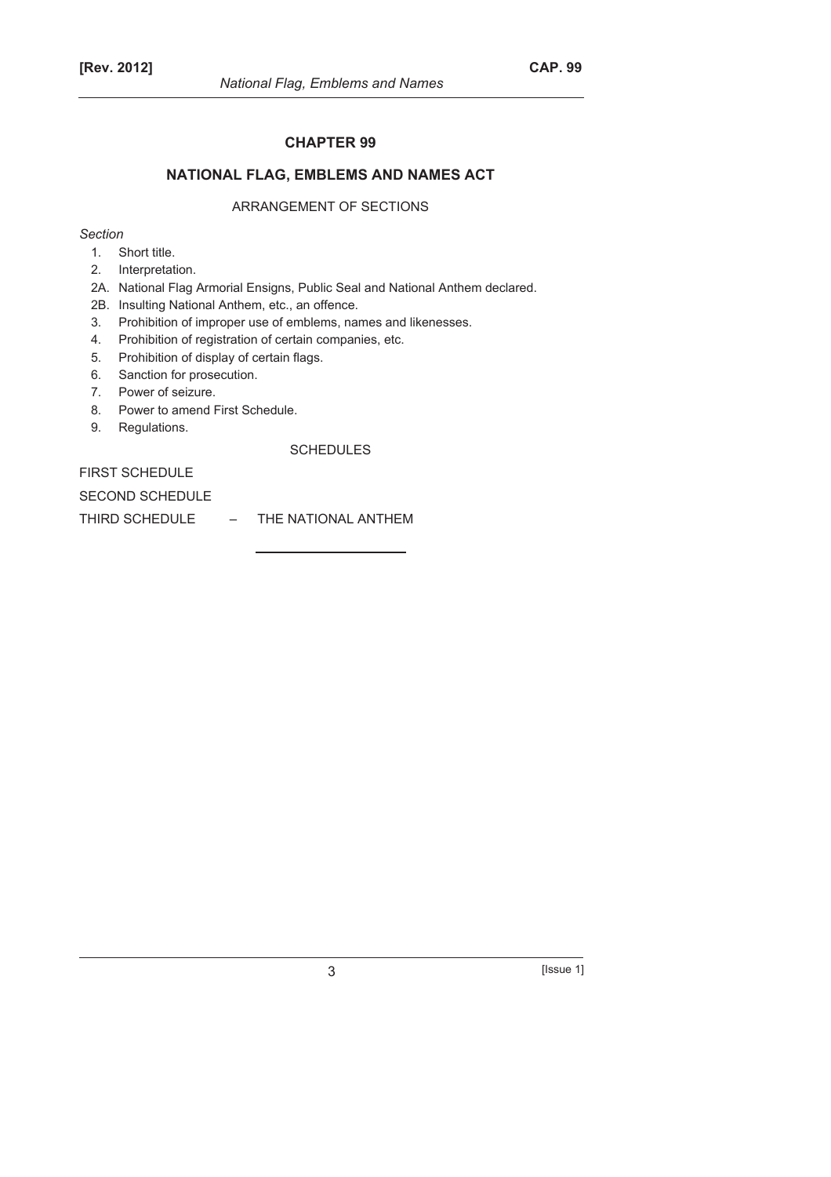#### **CHAPTER 99**

# **NATIONAL FLAG, EMBLEMS AND NAMES ACT**

# ARRANGEMENT OF SECTIONS

#### *Section*

- 1. Short title.
- 2. Interpretation.
- 2A. National Flag Armorial Ensigns, Public Seal and National Anthem declared.
- 2B. Insulting National Anthem, etc., an offence.
- 3. Prohibition of improper use of emblems, names and likenesses.
- 4. Prohibition of registration of certain companies, etc.
- 5. Prohibition of display of certain flags.
- 6. Sanction for prosecution.
- 7. Power of seizure.
- 8. Power to amend First Schedule.
- 9. Regulations.

#### SCHEDULES

FIRST SCHEDULE

SECOND SCHEDULE

THIRD SCHEDULE – THE NATIONAL ANTHEM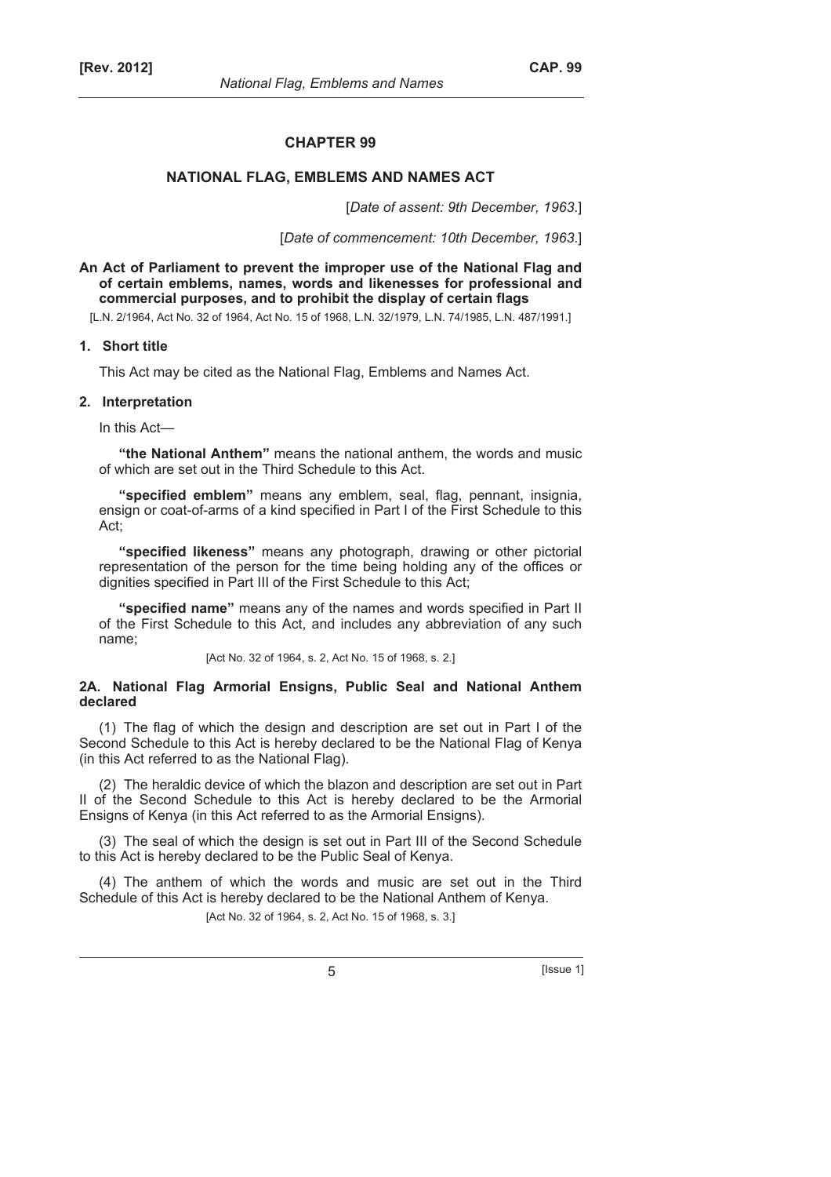#### **CHAPTER 99**

# **NATIONAL FLAG, EMBLEMS AND NAMES ACT**

[*Date of assent: 9th December, 1963*.]

[*Date of commencement: 10th December, 1963*.]

**An Act of Parliament to prevent the improper use of the National Flag and of certain emblems, names, words and likenesses for professional and commercial purposes, and to prohibit the display of certain flags** 

[L.N. 2/1964, Act No. 32 of 1964, Act No. 15 of 1968, L.N. 32/1979, L.N. 74/1985, L.N. 487/1991.]

#### **1. Short title**

This Act may be cited as the National Flag, Emblems and Names Act.

#### **2. Interpretation**

In this Act—

**"the National Anthem"** means the national anthem, the words and music of which are set out in the Third Schedule to this Act.

**"specified emblem"** means any emblem, seal, flag, pennant, insignia, ensign or coat-of-arms of a kind specified in Part I of the First Schedule to this Act;

**"specified likeness"** means any photograph, drawing or other pictorial representation of the person for the time being holding any of the offices or dignities specified in Part III of the First Schedule to this Act;

**"specified name"** means any of the names and words specified in Part II of the First Schedule to this Act, and includes any abbreviation of any such name;

[Act No. 32 of 1964, s. 2, Act No. 15 of 1968, s. 2.]

#### **2A. National Flag Armorial Ensigns, Public Seal and National Anthem declared**

(1) The flag of which the design and description are set out in Part I of the Second Schedule to this Act is hereby declared to be the National Flag of Kenya (in this Act referred to as the National Flag).

(2) The heraldic device of which the blazon and description are set out in Part II of the Second Schedule to this Act is hereby declared to be the Armorial Ensigns of Kenya (in this Act referred to as the Armorial Ensigns).

(3) The seal of which the design is set out in Part III of the Second Schedule to this Act is hereby declared to be the Public Seal of Kenya.

(4) The anthem of which the words and music are set out in the Third Schedule of this Act is hereby declared to be the National Anthem of Kenya.

[Act No. 32 of 1964, s. 2, Act No. 15 of 1968, s. 3.]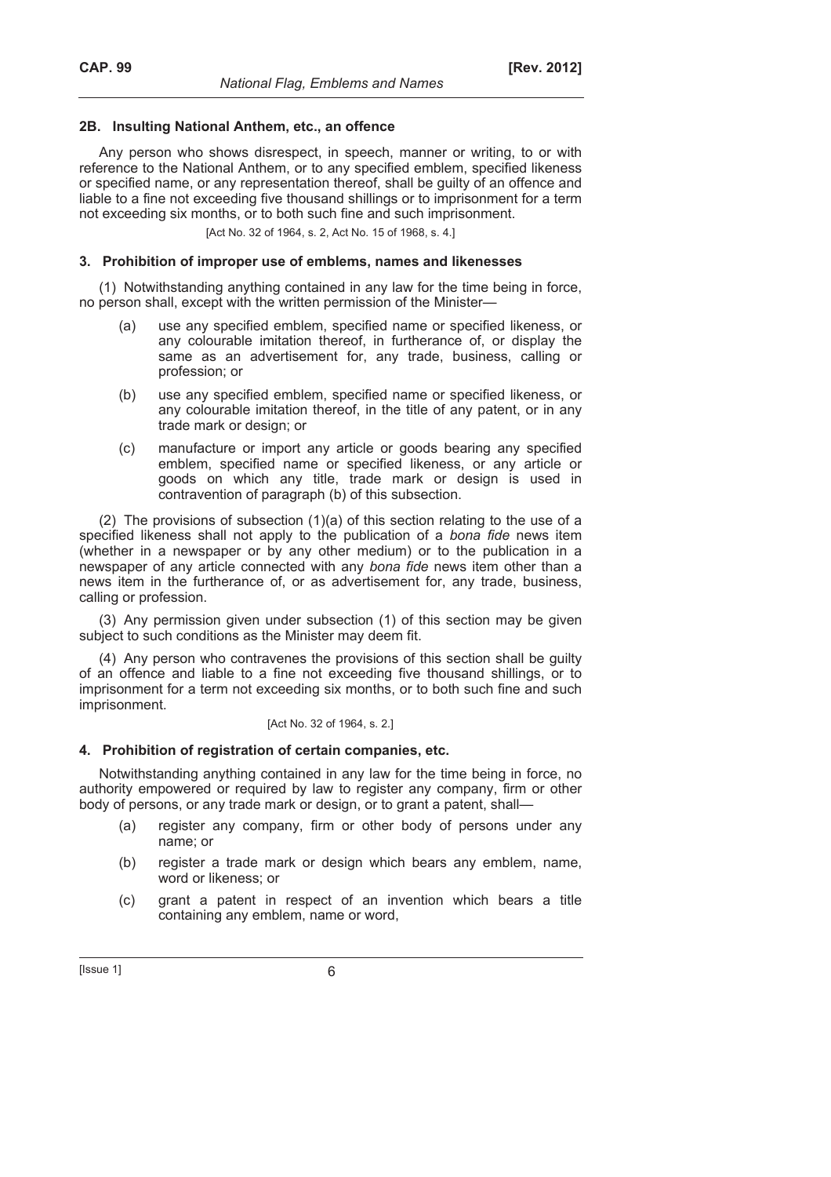#### **2B. Insulting National Anthem, etc., an offence**

Any person who shows disrespect, in speech, manner or writing, to or with reference to the National Anthem, or to any specified emblem, specified likeness or specified name, or any representation thereof, shall be guilty of an offence and liable to a fine not exceeding five thousand shillings or to imprisonment for a term not exceeding six months, or to both such fine and such imprisonment.

[Act No. 32 of 1964, s. 2, Act No. 15 of 1968, s. 4.]

#### **3. Prohibition of improper use of emblems, names and likenesses**

(1) Notwithstanding anything contained in any law for the time being in force, no person shall, except with the written permission of the Minister—

- (a) use any specified emblem, specified name or specified likeness, or any colourable imitation thereof, in furtherance of, or display the same as an advertisement for, any trade, business, calling or profession; or
- (b) use any specified emblem, specified name or specified likeness, or any colourable imitation thereof, in the title of any patent, or in any trade mark or design; or
- (c) manufacture or import any article or goods bearing any specified emblem, specified name or specified likeness, or any article or goods on which any title, trade mark or design is used in contravention of paragraph (b) of this subsection.

(2) The provisions of subsection (1)(a) of this section relating to the use of a specified likeness shall not apply to the publication of a *bona fide* news item (whether in a newspaper or by any other medium) or to the publication in a newspaper of any article connected with any *bona fide* news item other than a news item in the furtherance of, or as advertisement for, any trade, business, calling or profession.

(3) Any permission given under subsection (1) of this section may be given subject to such conditions as the Minister may deem fit.

(4) Any person who contravenes the provisions of this section shall be guilty of an offence and liable to a fine not exceeding five thousand shillings, or to imprisonment for a term not exceeding six months, or to both such fine and such imprisonment.

#### [Act No. 32 of 1964, s. 2.]

#### **4. Prohibition of registration of certain companies, etc.**

Notwithstanding anything contained in any law for the time being in force, no authority empowered or required by law to register any company, firm or other body of persons, or any trade mark or design, or to grant a patent, shall—

- (a) register any company, firm or other body of persons under any name; or
- (b) register a trade mark or design which bears any emblem, name, word or likeness; or
- (c) grant a patent in respect of an invention which bears a title containing any emblem, name or word,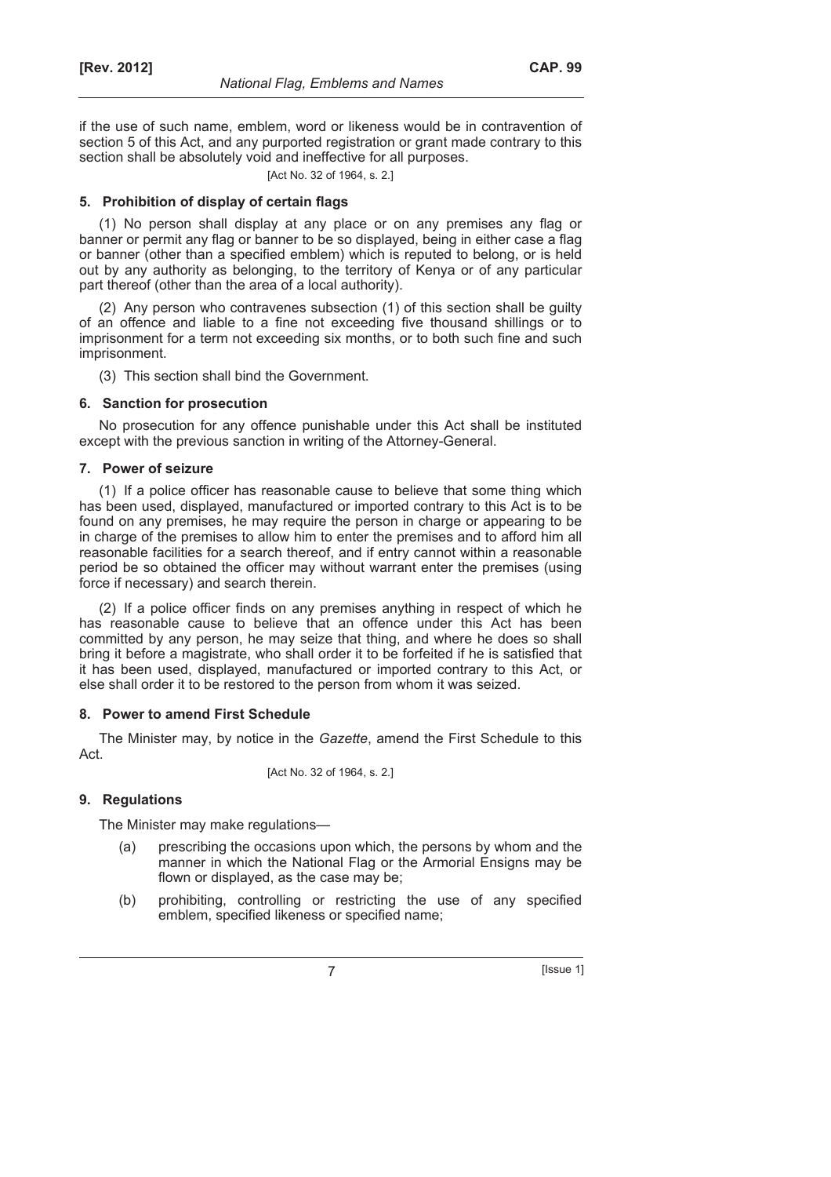if the use of such name, emblem, word or likeness would be in contravention of section 5 of this Act, and any purported registration or grant made contrary to this section shall be absolutely void and ineffective for all purposes.

[Act No. 32 of 1964, s. 2.]

# **5. Prohibition of display of certain flags**

(1) No person shall display at any place or on any premises any flag or banner or permit any flag or banner to be so displayed, being in either case a flag or banner (other than a specified emblem) which is reputed to belong, or is held out by any authority as belonging, to the territory of Kenya or of any particular part thereof (other than the area of a local authority).

(2) Any person who contravenes subsection (1) of this section shall be guilty of an offence and liable to a fine not exceeding five thousand shillings or to imprisonment for a term not exceeding six months, or to both such fine and such imprisonment.

(3) This section shall bind the Government.

# **6. Sanction for prosecution**

No prosecution for any offence punishable under this Act shall be instituted except with the previous sanction in writing of the Attorney-General.

# **7. Power of seizure**

(1) If a police officer has reasonable cause to believe that some thing which has been used, displayed, manufactured or imported contrary to this Act is to be found on any premises, he may require the person in charge or appearing to be in charge of the premises to allow him to enter the premises and to afford him all reasonable facilities for a search thereof, and if entry cannot within a reasonable period be so obtained the officer may without warrant enter the premises (using force if necessary) and search therein.

(2) If a police officer finds on any premises anything in respect of which he has reasonable cause to believe that an offence under this Act has been committed by any person, he may seize that thing, and where he does so shall bring it before a magistrate, who shall order it to be forfeited if he is satisfied that it has been used, displayed, manufactured or imported contrary to this Act, or else shall order it to be restored to the person from whom it was seized.

#### **8. Power to amend First Schedule**

The Minister may, by notice in the *Gazette*, amend the First Schedule to this Act.

[Act No. 32 of 1964, s. 2.]

# **9. Regulations**

The Minister may make regulations—

- (a) prescribing the occasions upon which, the persons by whom and the manner in which the National Flag or the Armorial Ensigns may be flown or displayed, as the case may be;
- (b) prohibiting, controlling or restricting the use of any specified emblem, specified likeness or specified name;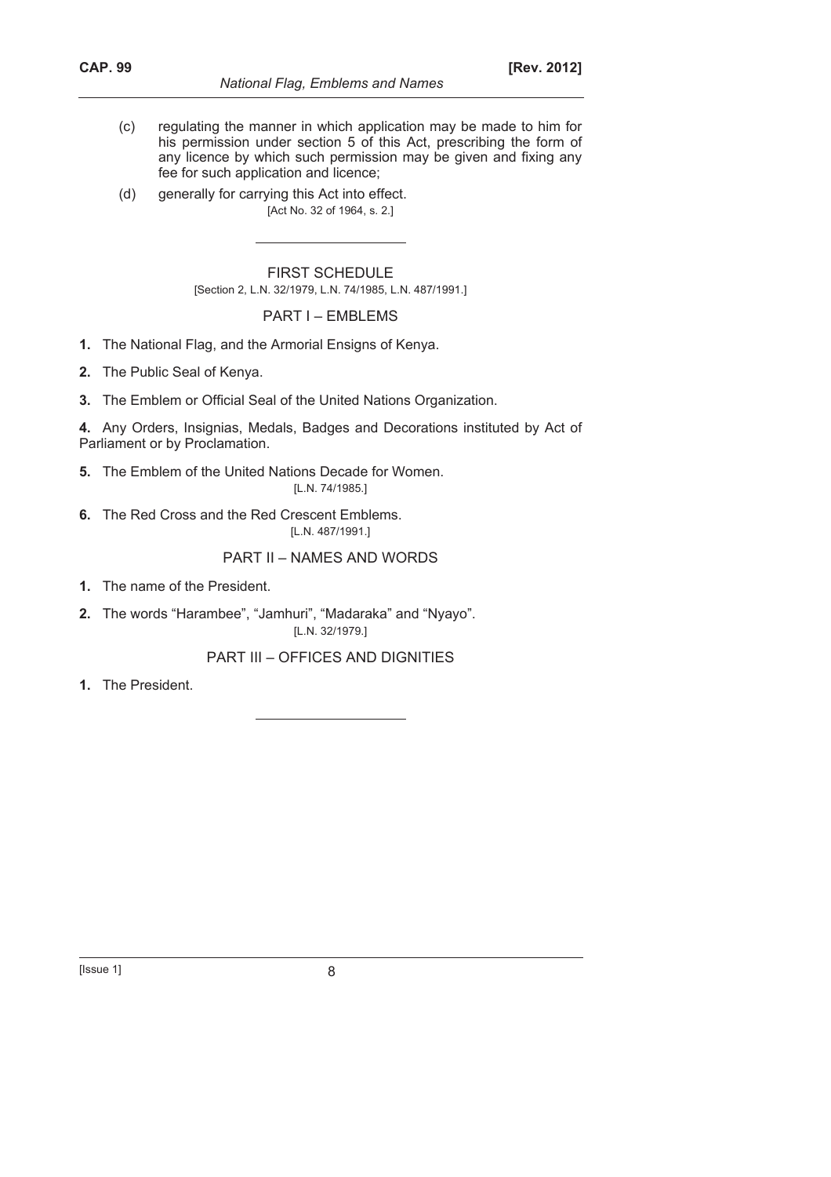- (c) regulating the manner in which application may be made to him for his permission under section 5 of this Act, prescribing the form of any licence by which such permission may be given and fixing any fee for such application and licence;
- (d) generally for carrying this Act into effect. [Act No. 32 of 1964, s. 2.]

FIRST SCHEDULE [Section 2, L.N. 32/1979, L.N. 74/1985, L.N. 487/1991.]

# PART I – EMBLEMS

- **1.** The National Flag, and the Armorial Ensigns of Kenya.
- **2.** The Public Seal of Kenya.
- **3.** The Emblem or Official Seal of the United Nations Organization.
- **4.** Any Orders, Insignias, Medals, Badges and Decorations instituted by Act of Parliament or by Proclamation.
- **5.** The Emblem of the United Nations Decade for Women. [L.N. 74/1985.]
- **6.** The Red Cross and the Red Crescent Emblems. [L.N. 487/1991.]

#### PART II – NAMES AND WORDS

- **1.** The name of the President.
- **2.** The words "Harambee", "Jamhuri", "Madaraka" and "Nyayo". [L.N. 32/1979.]

PART III – OFFICES AND DIGNITIES

**1.** The President.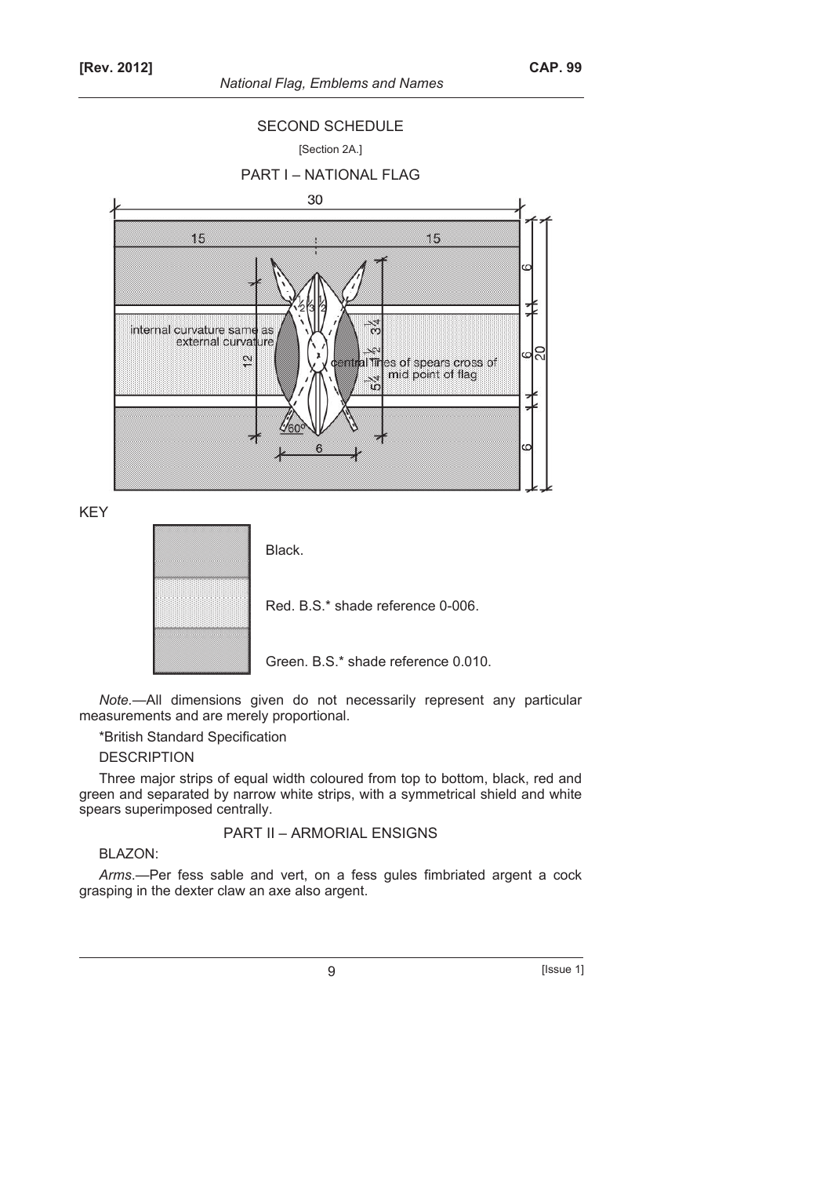*National Flag, Emblems and Names* 



KEY



*Note.*—All dimensions given do not necessarily represent any particular measurements and are merely proportional.

\*British Standard Specification

# **DESCRIPTION**

Three major strips of equal width coloured from top to bottom, black, red and green and separated by narrow white strips, with a symmetrical shield and white spears superimposed centrally.

PART II – ARMORIAL ENSIGNS

# BLAZON:

*Arms*.—Per fess sable and vert, on a fess gules fimbriated argent a cock grasping in the dexter claw an axe also argent.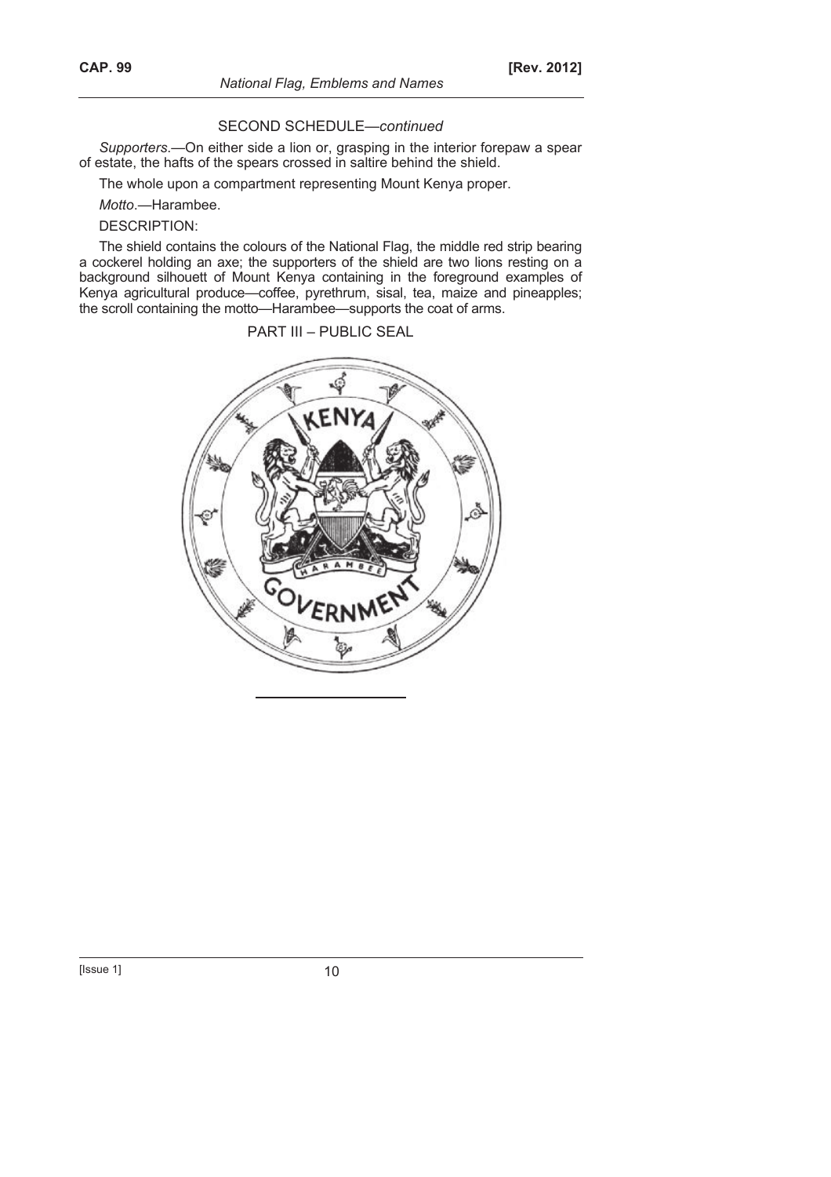#### SECOND SCHEDULE—*continued*

*Supporters*.—On either side a lion or, grasping in the interior forepaw a spear of estate, the hafts of the spears crossed in saltire behind the shield.

The whole upon a compartment representing Mount Kenya proper.

*Motto*.—Harambee.

DESCRIPTION:

The shield contains the colours of the National Flag, the middle red strip bearing a cockerel holding an axe; the supporters of the shield are two lions resting on a background silhouett of Mount Kenya containing in the foreground examples of Kenya agricultural produce—coffee, pyrethrum, sisal, tea, maize and pineapples; the scroll containing the motto—Harambee—supports the coat of arms.

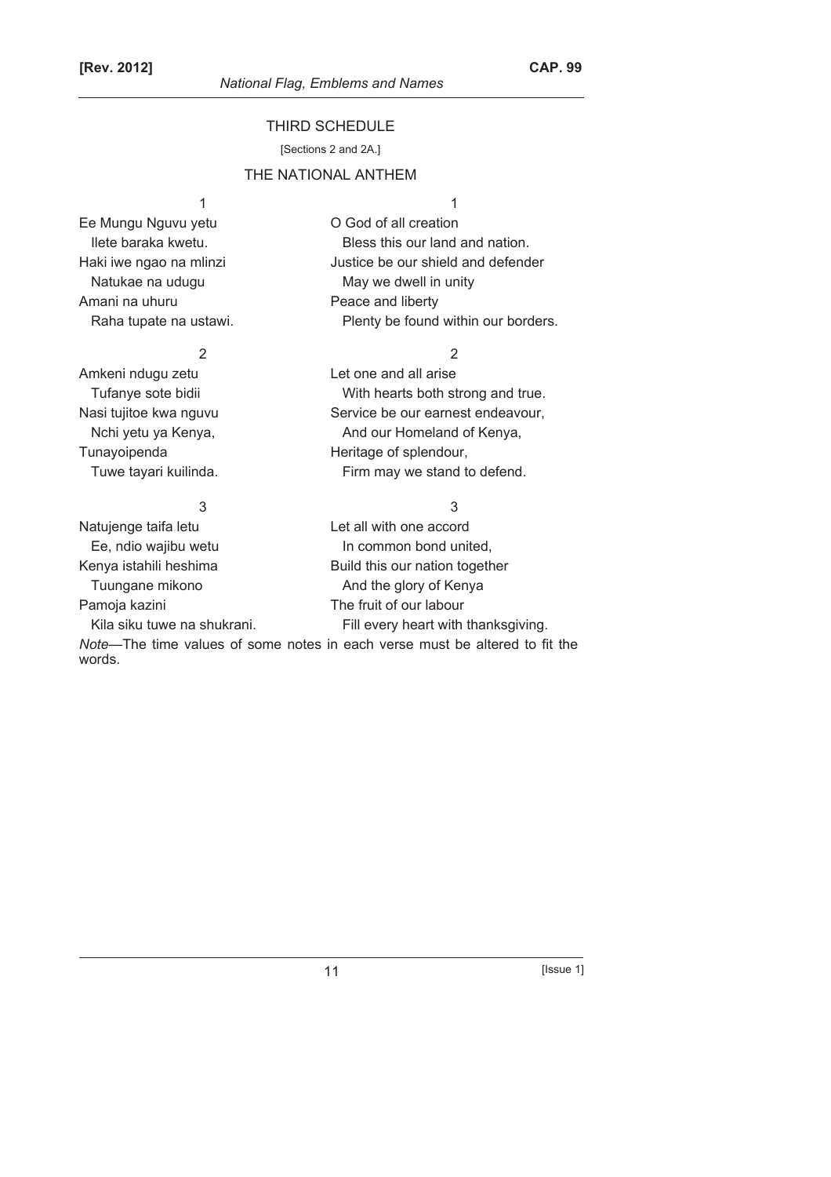#### THIRD SCHEDULE

[Sections 2 and 2A.]

# THE NATIONAL ANTHEM

# Ee Mungu Nguvu yetu O God of all creation Amani na uhuru **Peace and liberty**

2 2 Amkeni ndugu zetu Let one and all arise

# 3 3 Natujenge taifa letu **Let all with one accord** Ee, ndio wajibu wetu In common bond united, Kenya istahili heshima Build this our nation together Tuungane mikono **And the glory of Kenya** Pamoja kazini The fruit of our labour Kila siku tuwe na shukrani. Fill every heart with thanksgiving.

*Note*—The time values of some notes in each verse must be altered to fit the

#### words.

# $1$

Ilete baraka kwetu. The same is a Bless this our land and nation. Haki iwe ngao na mlinzi **Haki interest in the search of the Haki** Justice be our shield and defender Natukae na udugu matambang May we dwell in unity Raha tupate na ustawi. Plenty be found within our borders.

- Tufanye sote bidii Tufanye sote bidii With hearts both strong and true. Nasi tujitoe kwa nguvu Service be our earnest endeavour, Nchi yetu ya Kenya, And our Homeland of Kenya, Tunayoipenda **Heritage of splendour**, Tuwe tayari kuilinda. Tuwe tayari kuilinda.
	-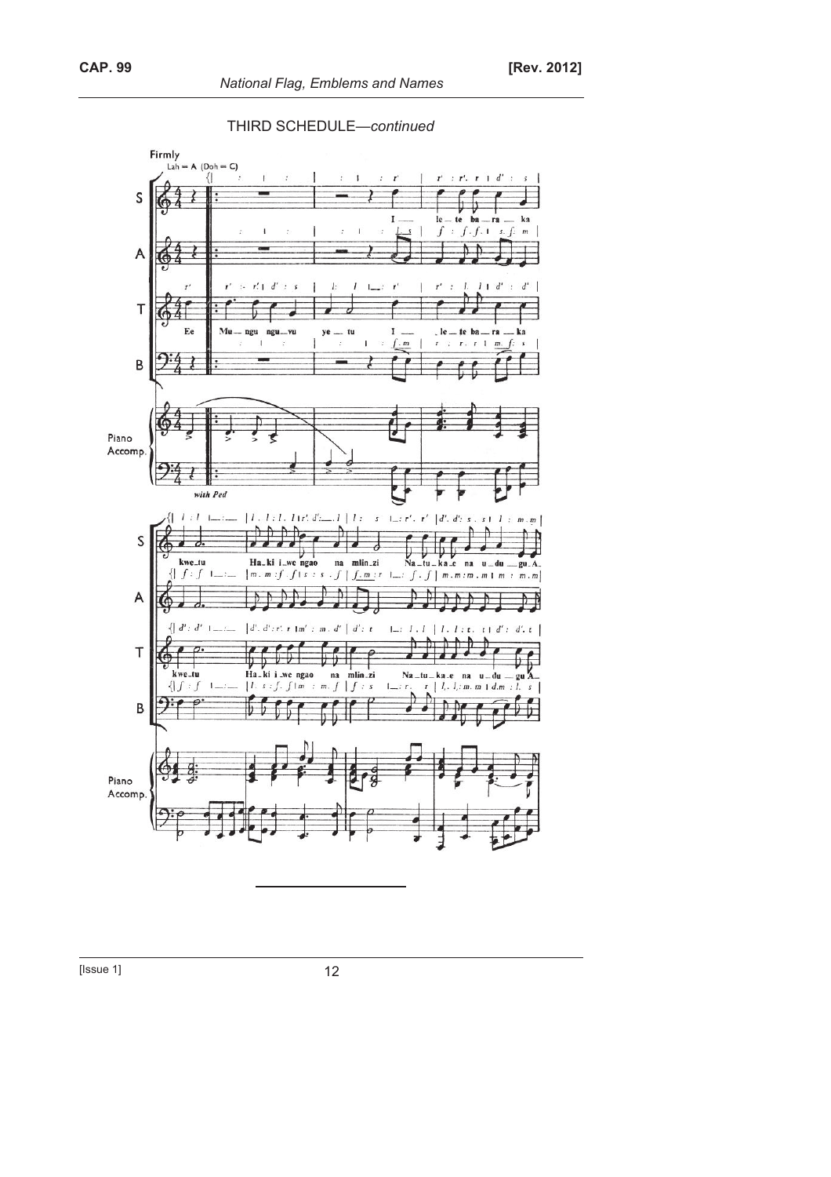



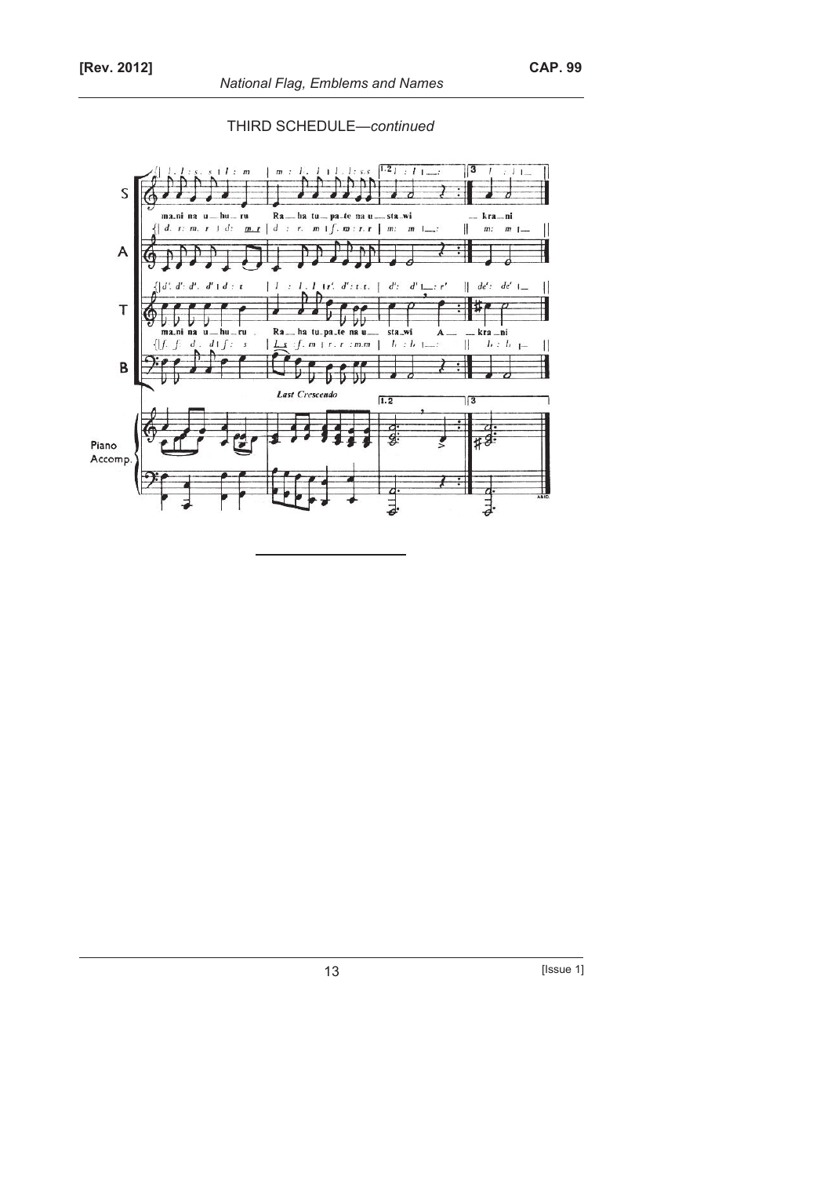

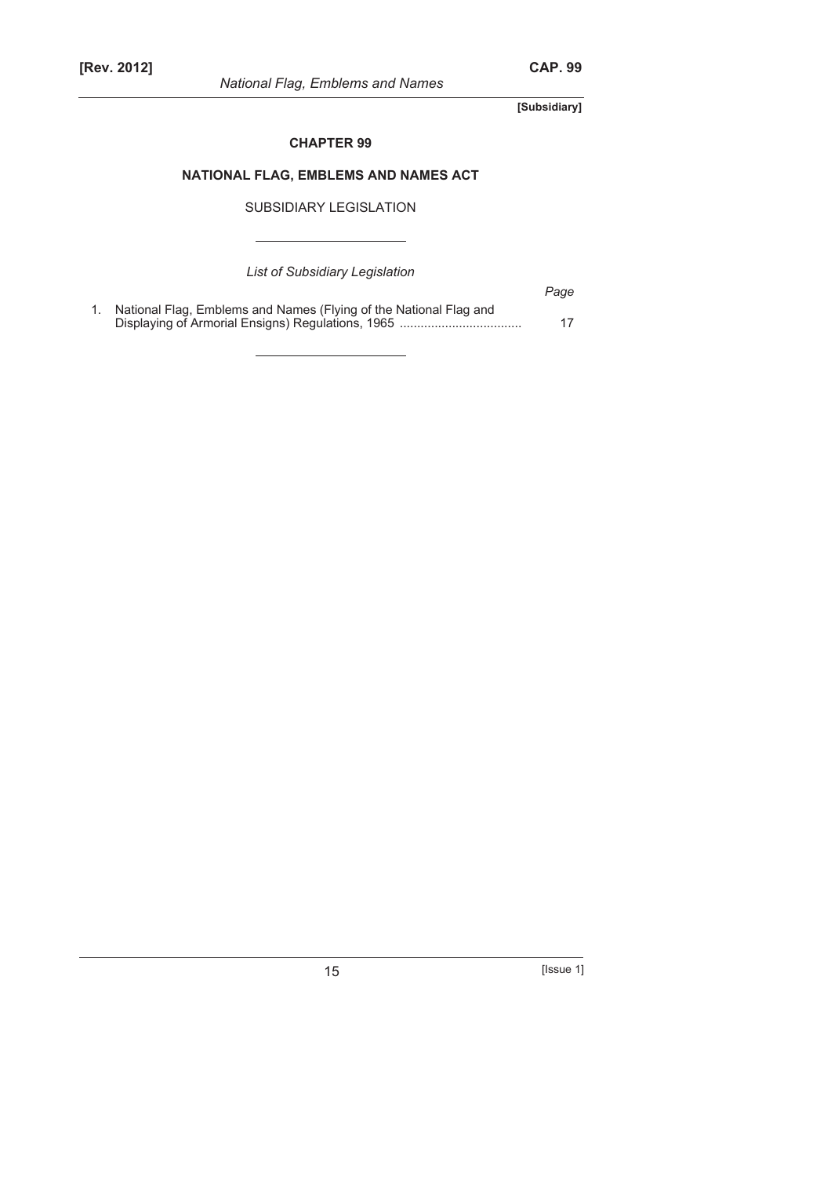**[Subsidiary]** 

# **CHAPTER 99**

# **NATIONAL FLAG, EMBLEMS AND NAMES ACT**

SUBSIDIARY LEGISLATION

*List of Subsidiary Legislation* 

|                                                                   | Page |
|-------------------------------------------------------------------|------|
| National Flag, Emblems and Names (Flying of the National Flag and |      |
|                                                                   |      |